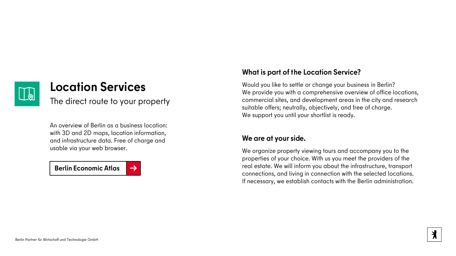

## **Location Services**

The direct route to your property

An overview of Berlin as a business location: with 3D and 2D maps, location information, and infrastructure data. Free of charge and usable via your web browser.

**[Berlin Economic Atlas](https://www.businesslocationcenter.de/wirtschaftsatlas/) [→](https://www.businesslocationcenter.de/wirtschaftsatlas/)** 



## **What is part of the Location Service?**

Would you like to settle or change your business in Berlin? We provide you with a comprehensive overview of office locations, commercial sites, and development areas in the city and research suitable offers; neutrally, objectively, and free of charge. We support you until your shortlist is ready.

### **We are at your side.**

We organize property viewing tours and accompany you to the properties of your choice. With us you meet the providers of the real estate. We will inform you about the infrastructure, transport connections, and living in connection with the selected locations. If necessary, we establish contacts with the Berlin administration.